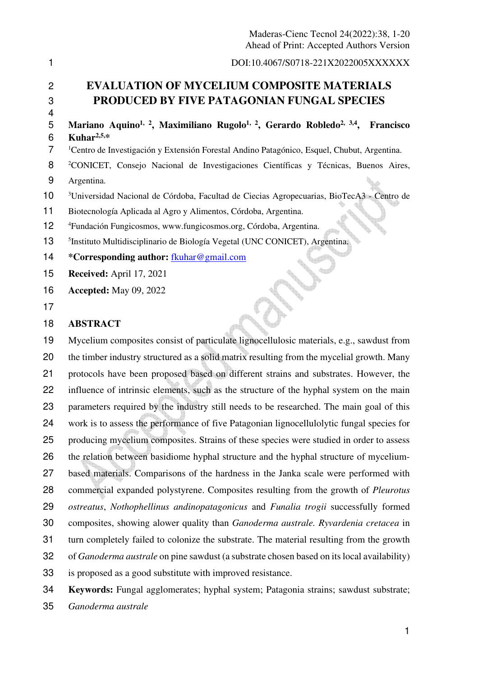|                          | Maderas-Cienc Tecnol 24(2022):38, 1-20<br>Ahead of Print: Accepted Authors Version                                                                                       |
|--------------------------|--------------------------------------------------------------------------------------------------------------------------------------------------------------------------|
| 1                        | DOI:10.4067/S0718-221X2022005XXXXXX                                                                                                                                      |
| $\overline{2}$<br>3<br>4 | <b>EVALUATION OF MYCELIUM COMPOSITE MATERIALS</b><br><b>PRODUCED BY FIVE PATAGONIAN FUNGAL SPECIES</b>                                                                   |
| 5<br>6                   | Mariano Aquino <sup>1, 2</sup> , Maximiliano Rugolo <sup>1, 2</sup> , Gerardo Robledo <sup>2, 3,4</sup> ,<br>Francisco<br>Kuhar $2,5,*$                                  |
| 7                        | <sup>1</sup> Centro de Investigación y Extensión Forestal Andino Patagónico, Esquel, Chubut, Argentina.                                                                  |
| 8<br>9                   | <sup>2</sup> CONICET, Consejo Nacional de Investigaciones Científicas y Técnicas, Buenos Aires,                                                                          |
| 10                       | Argentina.                                                                                                                                                               |
| 11                       | <sup>3</sup> Universidad Nacional de Córdoba, Facultad de Ciecias Agropecuarias, BioTecA3 - Centro de<br>Biotecnología Aplicada al Agro y Alimentos, Córdoba, Argentina. |
| 12                       | <sup>4</sup> Fundación Fungicosmos, www.fungicosmos.org, Córdoba, Argentina.                                                                                             |
| 13                       | <sup>5</sup> Instituto Multidisciplinario de Biología Vegetal (UNC CONICET), Argentina.                                                                                  |
| 14                       | *Corresponding author: fkuhar@gmail.com                                                                                                                                  |
| 15                       | Received: April 17, 2021                                                                                                                                                 |
| 16                       | <b>Accepted:</b> May 09, 2022                                                                                                                                            |
| 17                       |                                                                                                                                                                          |
| 18                       | <b>ABSTRACT</b>                                                                                                                                                          |
| 19                       | Mycelium composites consist of particulate lignocellulosic materials, e.g., sawdust from                                                                                 |
| 20                       | the timber industry structured as a solid matrix resulting from the mycelial growth. Many                                                                                |
| 21                       | protocols have been proposed based on different strains and substrates. However, the                                                                                     |
| 22                       | influence of intrinsic elements, such as the structure of the hyphal system on the main                                                                                  |
| 23                       | parameters required by the industry still needs to be researched. The main goal of this                                                                                  |
| 24                       | work is to assess the performance of five Patagonian lignocellulolytic fungal species for                                                                                |
| 25                       | producing mycelium composites. Strains of these species were studied in order to assess                                                                                  |
| 26                       | the relation between basidiome hyphal structure and the hyphal structure of mycelium-                                                                                    |
| 27                       | based materials. Comparisons of the hardness in the Janka scale were performed with                                                                                      |
| 28                       | commercial expanded polystyrene. Composites resulting from the growth of <i>Pleurotus</i>                                                                                |
| 29                       | ostreatus, Nothophellinus andinopatagonicus and Funalia trogii successfully formed                                                                                       |
| 30                       | composites, showing alower quality than Ganoderma australe. Ryvardenia cretacea in                                                                                       |
| 31                       | turn completely failed to colonize the substrate. The material resulting from the growth                                                                                 |
| 32                       | of <i>Ganoderma australe</i> on pine sawdust (a substrate chosen based on its local availability)                                                                        |
| 33                       | is proposed as a good substitute with improved resistance.                                                                                                               |
| 34                       | Keywords: Fungal agglomerates; hyphal system; Patagonia strains; sawdust substrate;                                                                                      |
| 35                       | Ganoderma australe                                                                                                                                                       |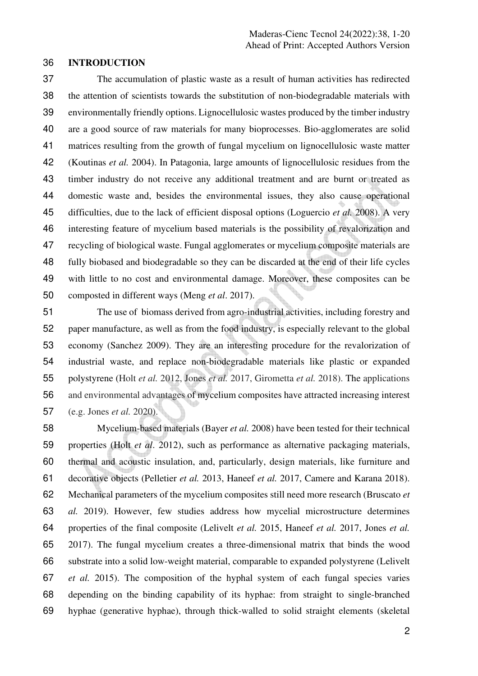## **INTRODUCTION**

The accumulation of plastic waste as a result of human activities has redirected the attention of scientists towards the substitution of non-biodegradable materials with environmentally friendly options. Lignocellulosic wastes produced by the timber industry are a good source of raw materials for many bioprocesses. Bio-agglomerates are solid matrices resulting from the growth of fungal mycelium on lignocellulosic waste matter (Koutinas *et al.* 2004). In Patagonia, large amounts of lignocellulosic residues from the timber industry do not receive any additional treatment and are burnt or treated as domestic waste and, besides the environmental issues, they also cause operational difficulties, due to the lack of efficient disposal options (Loguercio *et al.* 2008). A very interesting feature of mycelium based materials is the possibility of revalorization and recycling of biological waste. Fungal agglomerates or mycelium composite materials are fully biobased and biodegradable so they can be discarded at the end of their life cycles with little to no cost and environmental damage. Moreover, these composites can be composted in different ways (Meng *et al*. 2017).

The use of biomass derived from agro-industrial activities, including forestry and paper manufacture, as well as from the food industry, is especially relevant to the global economy (Sanchez 2009). They are an interesting procedure for the revalorization of industrial waste, and replace non-biodegradable materials like plastic or expanded polystyrene (Holt *et al.* 2012, Jones *et al.* 2017, Girometta *et al.* 2018). The applications and environmental advantages of mycelium composites have attracted increasing interest (e.g. Jones *et al.* 2020).

Mycelium-based materials (Bayer *et al.* 2008) have been tested for their technical properties (Holt *et al*. 2012), such as performance as alternative packaging materials, thermal and acoustic insulation, and, particularly, design materials, like furniture and decorative objects (Pelletier *et al.* 2013, Haneef *et al.* 2017, Camere and Karana 2018). Mechanical parameters of the mycelium composites still need more research (Bruscato *et al.* 2019). However, few studies address how mycelial microstructure determines properties of the final composite (Lelivelt *et al.* 2015, Haneef *et al.* 2017, Jones *et al.*  2017). The fungal mycelium creates a three-dimensional matrix that binds the wood substrate into a solid low-weight material, comparable to expanded polystyrene (Lelivelt *et al.* 2015). The composition of the hyphal system of each fungal species varies depending on the binding capability of its hyphae: from straight to single-branched hyphae (generative hyphae), through thick-walled to solid straight elements (skeletal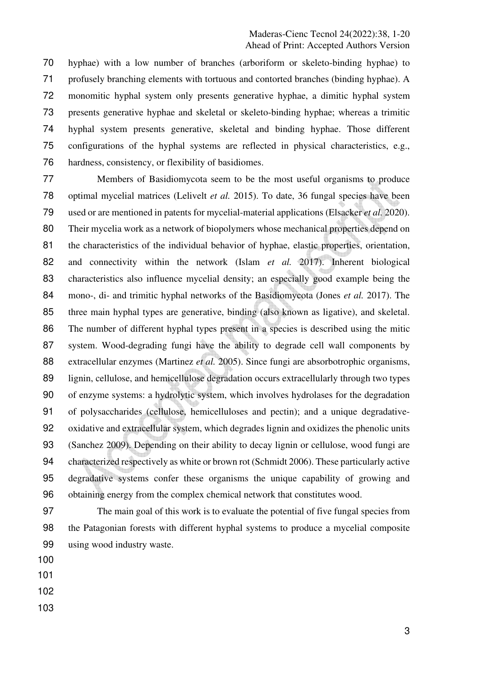hyphae) with a low number of branches (arboriform or skeleto-binding hyphae) to profusely branching elements with tortuous and contorted branches (binding hyphae). A monomitic hyphal system only presents generative hyphae, a dimitic hyphal system presents generative hyphae and skeletal or skeleto-binding hyphae; whereas a trimitic hyphal system presents generative, skeletal and binding hyphae. Those different configurations of the hyphal systems are reflected in physical characteristics, e.g., hardness, consistency, or flexibility of basidiomes.

Members of Basidiomycota seem to be the most useful organisms to produce optimal mycelial matrices (Lelivelt *et al.* 2015). To date, 36 fungal species have been used or are mentioned in patents for mycelial-material applications (Elsacker *et al.* 2020). Their mycelia work as a network of biopolymers whose mechanical properties depend on 81 the characteristics of the individual behavior of hyphae, elastic properties, orientation, and connectivity within the network (Islam *et al.* 2017). Inherent biological characteristics also influence mycelial density; an especially good example being the mono-, di- and trimitic hyphal networks of the Basidiomycota (Jones *et al.* 2017). The three main hyphal types are generative, binding (also known as ligative), and skeletal. The number of different hyphal types present in a species is described using the mitic system. Wood-degrading fungi have the ability to degrade cell wall components by extracellular enzymes (Martinez *et al.* 2005). Since fungi are absorbotrophic organisms, lignin, cellulose, and hemicellulose degradation occurs extracellularly through two types of enzyme systems: a hydrolytic system, which involves hydrolases for the degradation of polysaccharides (cellulose, hemicelluloses and pectin); and a unique degradative-oxidative and extracellular system, which degrades lignin and oxidizes the phenolic units (Sanchez 2009). Depending on their ability to decay lignin or cellulose, wood fungi are characterized respectively as white or brown rot (Schmidt 2006). These particularly active degradative systems confer these organisms the unique capability of growing and obtaining energy from the complex chemical network that constitutes wood.

The main goal of this work is to evaluate the potential of five fungal species from the Patagonian forests with different hyphal systems to produce a mycelial composite using wood industry waste.

- 
- 
- 
-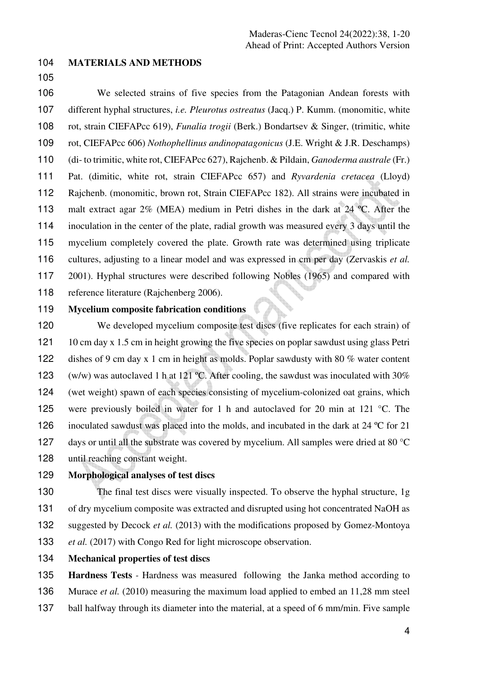## **MATERIALS AND METHODS**

We selected strains of five species from the Patagonian Andean forests with different hyphal structures, *i.e. Pleurotus ostreatus* (Jacq.) P. Kumm. (monomitic, white rot, strain CIEFAPcc 619), *Funalia trogii* (Berk.) Bondartsev & Singer, (trimitic, white rot, CIEFAPcc 606) *Nothophellinus andinopatagonicus* (J.E. Wright & J.R. Deschamps) (di- to trimitic, white rot, CIEFAPcc 627), Rajchenb. & Pildain, *Ganoderma australe* (Fr.) Pat. (dimitic, white rot, strain CIEFAPcc 657) and *Ryvardenia cretacea* (Lloyd) Rajchenb. (monomitic, brown rot, Strain CIEFAPcc 182). All strains were incubated in 113 malt extract agar 2% (MEA) medium in Petri dishes in the dark at 24 °C. After the inoculation in the center of the plate, radial growth was measured every 3 days until the mycelium completely covered the plate. Growth rate was determined using triplicate cultures, adjusting to a linear model and was expressed in cm per day (Zervaskis *et al.* 2001). Hyphal structures were described following Nobles (1965) and compared with reference literature (Rajchenberg 2006).

# **Mycelium composite fabrication conditions**

We developed mycelium composite test discs (five replicates for each strain) of 121 10 cm day x 1.5 cm in height growing the five species on poplar sawdust using glass Petri dishes of 9 cm day x 1 cm in height as molds. Poplar sawdusty with 80 % water content (w/w) was autoclaved 1 h at 121 ºC. After cooling, the sawdust was inoculated with 30% (wet weight) spawn of each species consisting of mycelium-colonized oat grains, which were previously boiled in water for 1 h and autoclaved for 20 min at 121 °C. The 126 inoculated sawdust was placed into the molds, and incubated in the dark at 24 °C for 21 127 days or until all the substrate was covered by mycelium. All samples were dried at 80 °C until reaching constant weight.

# **Morphological analyses of test discs**

The final test discs were visually inspected. To observe the hyphal structure, 1g of dry mycelium composite was extracted and disrupted using hot concentrated NaOH as suggested by Decock *et al.* (2013) with the modifications proposed by Gomez-Montoya *et al.* (2017) with Congo Red for light microscope observation.

**Mechanical properties of test discs** 

**Hardness Tests** *-* Hardness was measured following the Janka method according to Murace *et al.* (2010) measuring the maximum load applied to embed an 11,28 mm steel ball halfway through its diameter into the material, at a speed of 6 mm/min. Five sample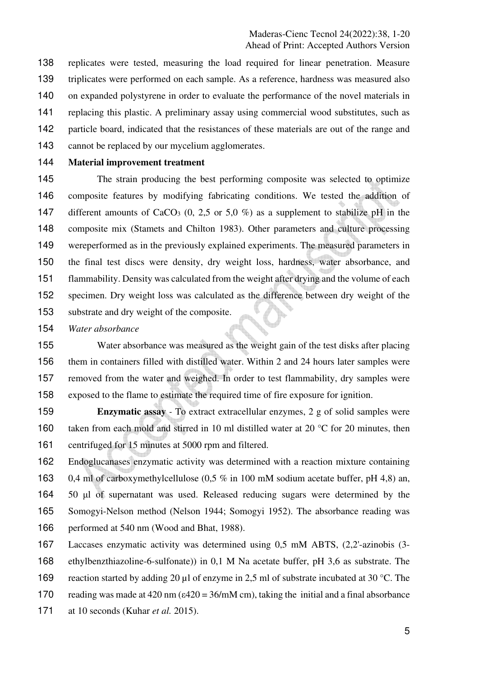replicates were tested, measuring the load required for linear penetration. Measure triplicates were performed on each sample. As a reference, hardness was measured also on expanded polystyrene in order to evaluate the performance of the novel materials in replacing this plastic. A preliminary assay using commercial wood substitutes, such as particle board, indicated that the resistances of these materials are out of the range and cannot be replaced by our mycelium agglomerates.

## **Material improvement treatment**

145 The strain producing the best performing composite was selected to optimize composite features by modifying fabricating conditions. We tested the addition of 147 different amounts of CaCO<sub>3</sub> (0, 2,5 or 5,0 %) as a supplement to stabilize pH in the composite mix (Stamets and Chilton 1983). Other parameters and culture processing wereperformed as in the previously explained experiments. The measured parameters in the final test discs were density, dry weight loss, hardness, water absorbance, and flammability. Density was calculated from the weight after drying and the volume of each specimen. Dry weight loss was calculated as the difference between dry weight of the substrate and dry weight of the composite.

*Water absorbance*

Water absorbance was measured as the weight gain of the test disks after placing them in containers filled with distilled water. Within 2 and 24 hours later samples were removed from the water and weighed. In order to test flammability, dry samples were exposed to the flame to estimate the required time of fire exposure for ignition.

**Enzymatic assay** *-* To extract extracellular enzymes, 2 g of solid samples were 160 taken from each mold and stirred in 10 ml distilled water at 20 °C for 20 minutes, then centrifuged for 15 minutes at 5000 rpm and filtered.

Endoglucanases enzymatic activity was determined with a reaction mixture containing 0,4 ml of carboxymethylcellulose (0,5 % in 100 mM sodium acetate buffer, pH 4,8) an, 50 μl of supernatant was used. Released reducing sugars were determined by the Somogyi-Nelson method (Nelson 1944; Somogyi 1952). The absorbance reading was performed at 540 nm (Wood and Bhat, 1988).

Laccases enzymatic activity was determined using 0,5 mM ABTS, (2,2'-azinobis (3- ethylbenzthiazoline-6-sulfonate)) in 0,1 M Na acetate buffer, pH 3,6 as substrate. The reaction started by adding 20 µl of enzyme in 2,5 ml of substrate incubated at 30 °C. The 170 reading was made at 420 nm ( $\varepsilon$ 420 = 36/mM cm), taking the initial and a final absorbance at 10 seconds (Kuhar *et al.* 2015).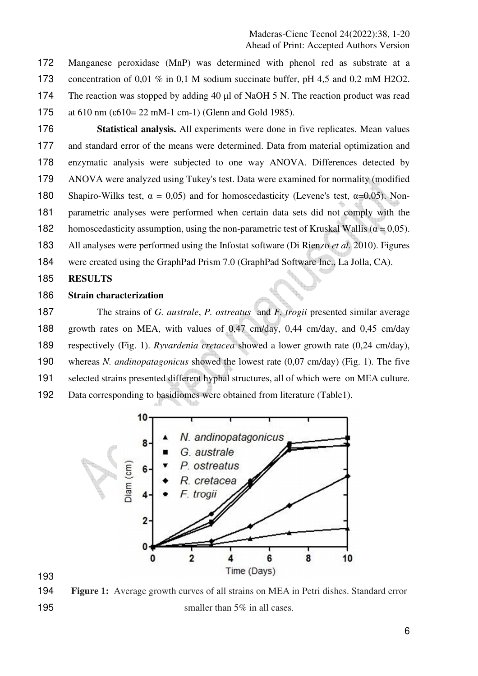Manganese peroxidase (MnP) was determined with phenol red as substrate at a concentration of 0,01 % in 0,1 M sodium succinate buffer, pH 4,5 and 0,2 mM H2O2. The reaction was stopped by adding 40 μl of NaOH 5 N. The reaction product was read at 610 nm (ε610= 22 mM-1 cm-1) (Glenn and Gold 1985).

**Statistical analysis.** All experiments were done in five replicates. Mean values and standard error of the means were determined. Data from material optimization and enzymatic analysis were subjected to one way ANOVA. Differences detected by ANOVA were analyzed using Tukey's test. Data were examined for normality (modified 180 Shapiro-Wilks test,  $\alpha = 0.05$ ) and for homoscedasticity (Levene's test,  $\alpha = 0.05$ ). Non-parametric analyses were performed when certain data sets did not comply with the 182 homoscedasticity assumption, using the non-parametric test of Kruskal Wallis ( $\alpha$  = 0,05). All analyses were performed using the Infostat software (Di Rienzo *et al.* 2010). Figures were created using the GraphPad Prism 7.0 (GraphPad Software Inc., La Jolla, CA).

**RESULTS** 

#### **Strain characterization**

The strains of *G. australe*, *P. ostreatus* and *F. trogii* presented similar average growth rates on MEA, with values of 0,47 cm/day, 0,44 cm/day, and 0,45 cm/day respectively (Fig. 1). *Ryvardenia cretacea* showed a lower growth rate (0,24 cm/day), whereas *N. andinopatagonicus* showed the lowest rate (0,07 cm/day) (Fig. 1). The five selected strains presented different hyphal structures, all of which were on MEA culture. Data corresponding to basidiomes were obtained from literature (Table1).



**Figure 1:** Average growth curves of all strains on MEA in Petri dishes. Standard error 195 smaller than 5% in all cases.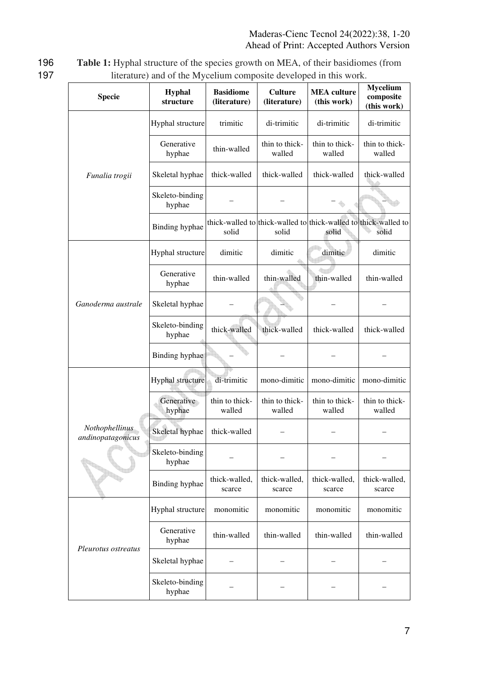196 **Table 1:** Hyphal structure of the species growth on MEA, of their basidiomes (from 197 literature) and of the Mycelium composite developed in this work.

| <b>Specie</b>                       | <b>Hyphal</b><br>structure | <b>Basidiome</b><br>(literature) | <b>Culture</b><br>(literature) | <b>MEA</b> culture<br>(this work)                                        | Mycelium<br>composite<br>(this work) |
|-------------------------------------|----------------------------|----------------------------------|--------------------------------|--------------------------------------------------------------------------|--------------------------------------|
|                                     | Hyphal structure           | trimitic                         | di-trimitic                    | di-trimitic                                                              | di-trimitic                          |
|                                     | Generative<br>hyphae       | thin-walled                      | thin to thick-<br>walled       | thin to thick-<br>walled                                                 | thin to thick-<br>walled             |
| Funalia trogii                      | Skeletal hyphae            | thick-walled                     | thick-walled                   | thick-walled                                                             | thick-walled                         |
|                                     | Skeleto-binding<br>hyphae  |                                  |                                |                                                                          |                                      |
|                                     | Binding hyphae             | solid                            | solid                          | thick-walled to thick-walled to thick-walled to thick-walled to<br>solid | solid                                |
|                                     | Hyphal structure           | dimitic                          | dimitic                        | dimitic                                                                  | dimitic                              |
|                                     | Generative<br>hyphae       | thin-walled                      | thin-walled                    | thin-walled                                                              | thin-walled                          |
| Ganoderma australe                  | Skeletal hyphae            |                                  |                                |                                                                          |                                      |
|                                     | Skeleto-binding<br>hyphae  | thick-walled                     | thick-walled                   | thick-walled                                                             | thick-walled                         |
|                                     | Binding hyphae             |                                  |                                |                                                                          |                                      |
|                                     | Hyphal structure           | di-trimitic                      | mono-dimitic                   | mono-dimitic                                                             | mono-dimitic                         |
|                                     | Generative<br>hyphae       | thin to thick-<br>walled         | thin to thick-<br>walled       | thin to thick-<br>walled                                                 | thin to thick-<br>walled             |
| Nothophellinus<br>andinopatagonicus | Skeletal hyphae            | thick-walled                     |                                |                                                                          |                                      |
|                                     | Skeleto-binding<br>hyphae  |                                  |                                |                                                                          |                                      |
|                                     | Binding hyphae             | thick-walled,<br>scarce          | thick-walled,<br>scarce        | thick-walled,<br>scarce                                                  | thick-walled,<br>scarce              |
|                                     | Hyphal structure           | monomitic                        | monomitic                      | monomitic                                                                | monomitic                            |
| Pleurotus ostreatus                 | Generative<br>hyphae       | thin-walled                      | thin-walled                    | thin-walled                                                              | thin-walled                          |
|                                     | Skeletal hyphae            |                                  |                                |                                                                          |                                      |
|                                     | Skeleto-binding<br>hyphae  |                                  |                                |                                                                          |                                      |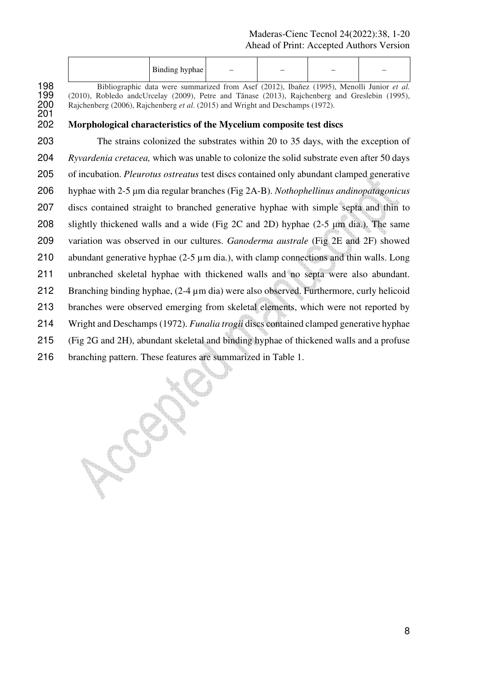| Binding hyphae | $\sim$ $-$ | $\overline{\phantom{a}}$ | $\overline{\phantom{a}}$ | $\overline{\phantom{a}}$ |
|----------------|------------|--------------------------|--------------------------|--------------------------|
|                |            |                          |                          |                          |

198 Bibliographic data were summarized from Asef (2012), Ibañez (1995), Menolli Junior *et al.*<br>199 (2010), Robledo andcUrcelay (2009), Petre and Tănase (2013), Rajchenberg and Greslebin (1995), 199 (2010), Robledo andcUrcelay (2009), Petre and Tănase (2013), Rajchenberg and Greslebin (1995), 200 Rajchenberg (2006), Rajchenberg *et al.* (2015) and Wright and Deschamps (1972). Rajchenberg (2006), Rajchenberg *et al.* (2015) and Wright and Deschamps (1972).

# **Morphological characteristics of the Mycelium composite test discs**

The strains colonized the substrates within 20 to 35 days, with the exception of *Ryvardenia cretacea,* which was unable to colonize the solid substrate even after 50 days of incubation. *Pleurotus ostreatus* test discs contained only abundant clamped generative hyphae with 2-5 μm dia regular branches (Fig 2A-B). *Nothophellinus andinopatagonicus*  discs contained straight to branched generative hyphae with simple septa and thin to slightly thickened walls and a wide (Fig 2C and 2D) hyphae (2-5 μm dia.). The same variation was observed in our cultures. *Ganoderma australe* (Fig 2E and 2F) showed 210 abundant generative hyphae (2-5 µm dia.), with clamp connections and thin walls. Long unbranched skeletal hyphae with thickened walls and no septa were also abundant. Branching binding hyphae, (2-4 µm dia) were also observed. Furthermore, curly helicoid branches were observed emerging from skeletal elements, which were not reported by Wright and Deschamps (1972). *Funalia trogii* discs contained clamped generative hyphae (Fig 2G and 2H), abundant skeletal and binding hyphae of thickened walls and a profuse branching pattern. These features are summarized in Table 1.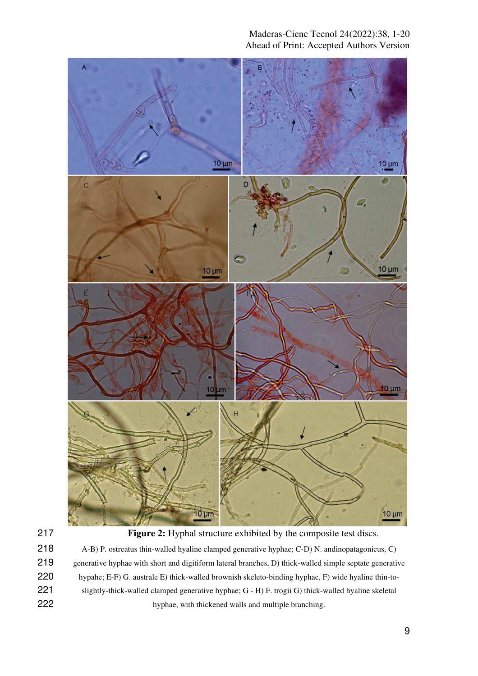



**Figure 2:** Hyphal structure exhibited by the composite test discs.

A-B) P. ostreatus thin-walled hyaline clamped generative hyphae; C-D) N. andinopatagonicus, C) generative hyphae with short and digitiform lateral branches, D) thick-walled simple septate generative hypahe; E-F) G. australe E) thick-walled brownish skeleto-binding hyphae, F) wide hyaline thin-to-slightly-thick-walled clamped generative hyphae; G - H) F. trogii G) thick-walled hyaline skeletal hyphae, with thickened walls and multiple branching.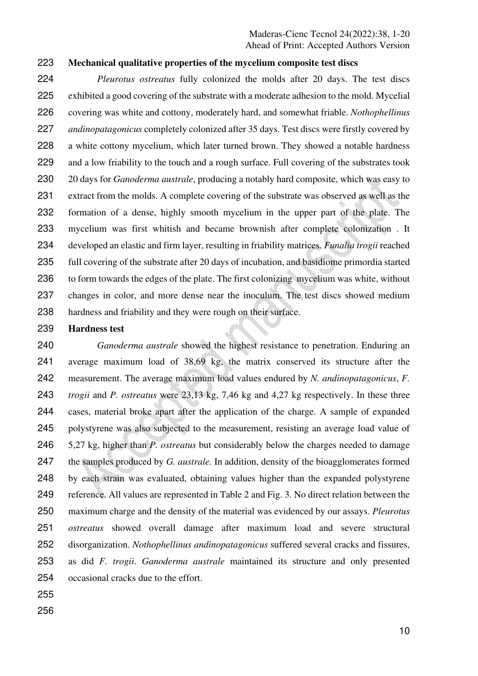## **Mechanical qualitative properties of the mycelium composite test discs**

*Pleurotus ostreatus* fully colonized the molds after 20 days. The test discs exhibited a good covering of the substrate with a moderate adhesion to the mold. Mycelial covering was white and cottony, moderately hard, and somewhat friable. *Nothophellinus andinopatagonicus* completely colonized after 35 days. Test discs were firstly covered by a white cottony mycelium, which later turned brown. They showed a notable hardness and a low friability to the touch and a rough surface. Full covering of the substrates took 20 days for *Ganoderma australe*, producing a notably hard composite, which was easy to extract from the molds. A complete covering of the substrate was observed as well as the formation of a dense, highly smooth mycelium in the upper part of the plate. The mycelium was first whitish and became brownish after complete colonization . It developed an elastic and firm layer, resulting in friability matrices. *Funalia trogii* reached full covering of the substrate after 20 days of incubation, and basidiome primordia started 236 to form towards the edges of the plate. The first colonizing mycelium was white, without changes in color, and more dense near the inoculum. The test discs showed medium hardness and friability and they were rough on their surface.

## **Hardness test**

*Ganoderma australe* showed the highest resistance to penetration. Enduring an average maximum load of 38,69 kg, the matrix conserved its structure after the measurement. The average maximum load values endured by *N. andinopatagonicus*, *F. trogii* and *P. ostreatus* were 23,13 kg, 7,46 kg and 4,27 kg respectively. In these three cases, material broke apart after the application of the charge. A sample of expanded polystyrene was also subjected to the measurement, resisting an average load value of 5,27 kg, higher than *P. ostreatus* but considerably below the charges needed to damage the samples produced by *G. australe.* In addition, density of the bioagglomerates formed by each strain was evaluated, obtaining values higher than the expanded polystyrene reference. All values are represented in Table 2 and Fig. 3. No direct relation between the maximum charge and the density of the material was evidenced by our assays. *Pleurotus ostreatus* showed overall damage after maximum load and severe structural disorganization. *Nothophellinus andinopatagonicus* suffered several cracks and fissures, as did *F. trogii*. *Ganoderma australe* maintained its structure and only presented occasional cracks due to the effort.

- 
-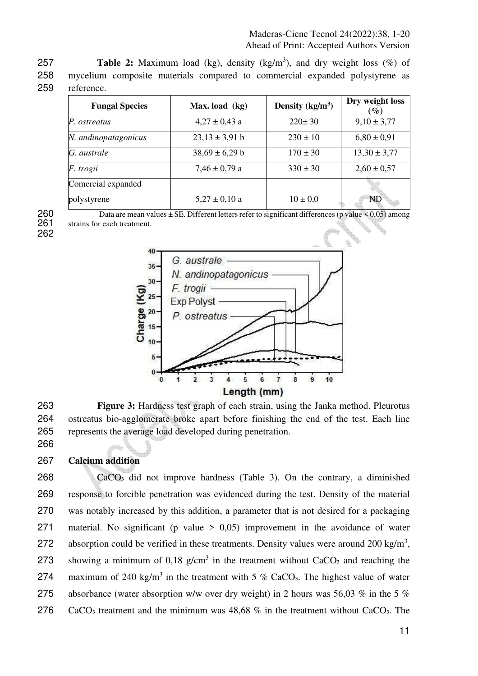**257 Table 2:** Maximum load (kg), density (kg/m<sup>3</sup>), and dry weight loss  $(\%)$  of 258 mycelium composite materials compared to commercial expanded polystyrene as 259 reference.

| <b>Fungal Species</b> | Max. load (kg)     | Density $(kg/m3)$ | Dry weight loss<br>$(\%)$ |
|-----------------------|--------------------|-------------------|---------------------------|
| P. ostreatus          | $4,27 \pm 0,43$ a  | $220 \pm 30$      | $9,10 \pm 3,77$           |
| N. andinopatagonicus  | $23,13 \pm 3,91$ b | $230 \pm 10$      | $6,80 \pm 0.91$           |
| G. australe           | $38,69 \pm 6,29$ b | $170 \pm 30$      | $13,30 \pm 3,77$          |
| F. trogii             | $7,46 \pm 0,79$ a  | $330 \pm 30$      | $2,60 \pm 0.57$           |
| Comercial expanded    |                    |                   |                           |
| polystyrene           | $5,27 \pm 0,10$ a  | $10 \pm 0.0$      | <b>ND</b>                 |

262

266

260 Data are mean values  $\pm$  SE. Different letters refer to significant differences (p value  $< 0.05$ ) among 261 strains for each treatment. strains for each treatment.



263 **Figure 3:** Hardness test graph of each strain, using the Janka method. Pleurotus 264 ostreatus bio-agglomerate broke apart before finishing the end of the test. Each line 265 represents the average load developed during penetration.

267 **Calcium addition** 

268 CaCO₃ did not improve hardness (Table 3). On the contrary, a diminished 269 response to forcible penetration was evidenced during the test. Density of the material 270 was notably increased by this addition, a parameter that is not desired for a packaging 271 material. No significant (p value  $> 0.05$ ) improvement in the avoidance of water 272 absorption could be verified in these treatments. Density values were around 200 kg/m<sup>3</sup>, 273 showing a minimum of 0.18  $g/cm<sup>3</sup>$  in the treatment without CaCO<sub>3</sub> and reaching the 274 maximum of 240 kg/m<sup>3</sup> in the treatment with 5 % CaCO<sub>3</sub>. The highest value of water 275 absorbance (water absorption w/w over dry weight) in 2 hours was 56,03 % in the 5 % 276 CaCO<sub>3</sub> treatment and the minimum was 48,68 % in the treatment without CaCO<sub>3</sub>. The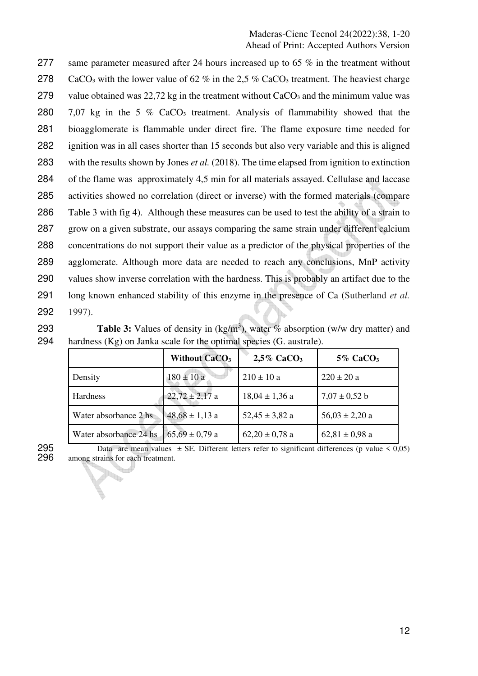277 same parameter measured after 24 hours increased up to 65 % in the treatment without 278 CaCO<sub>3</sub> with the lower value of 62 % in the 2.5 % CaCO<sub>3</sub> treatment. The heaviest charge 279 value obtained was 22,72 kg in the treatment without CaCO<sub>3</sub> and the minimum value was 280 7,07 kg in the 5 % CaCO<sub>3</sub> treatment. Analysis of flammability showed that the bioagglomerate is flammable under direct fire. The flame exposure time needed for ignition was in all cases shorter than 15 seconds but also very variable and this is aligned with the results shown by Jones *et al.* (2018). The time elapsed from ignition to extinction of the flame was approximately 4,5 min for all materials assayed. Cellulase and laccase activities showed no correlation (direct or inverse) with the formed materials (compare Table 3 with fig 4). Although these measures can be used to test the ability of a strain to grow on a given substrate, our assays comparing the same strain under different calcium concentrations do not support their value as a predictor of the physical properties of the agglomerate. Although more data are needed to reach any conclusions, MnP activity 290 values show inverse correlation with the hardness. This is probably an artifact due to the long known enhanced stability of this enzyme in the presence of Ca (Sutherland *et al.* 292 1997).

**293 Table 3:** Values of density in  $(kg/m<sup>3</sup>)$ , water % absorption (w/w dry matter) and 294 hardness (Kg) on Janka scale for the optimal species (G. australe).

|                        | <b>Without CaCO<sub>3</sub></b> | $2.5\%$ CaCO <sub>3</sub> | $5\%$ CaCO <sub>3</sub> |
|------------------------|---------------------------------|---------------------------|-------------------------|
| Density                | $180 \pm 10 a$                  | $210 \pm 10 a$            | $220 \pm 20 a$          |
| <b>Hardness</b>        | $22,72 \pm 2,17$ a              | $18,04 \pm 1,36$ a        | $7.07 \pm 0.52$ b       |
| Water absorbance 2 hs  | $48,68 \pm 1,13$ a              | $52,45 \pm 3,82$ a        | $56,03 \pm 2,20$ a      |
| Water absorbance 24 hs | $65,69 \pm 0,79$ a              | $62,20 \pm 0,78$ a        | $62,81 \pm 0,98$ a      |

b.

295 Data are mean values  $\pm$  SE. Different letters refer to significant differences (p value  $\leq$  0,05) 296 among strains for each treatment. among strains for each treatment.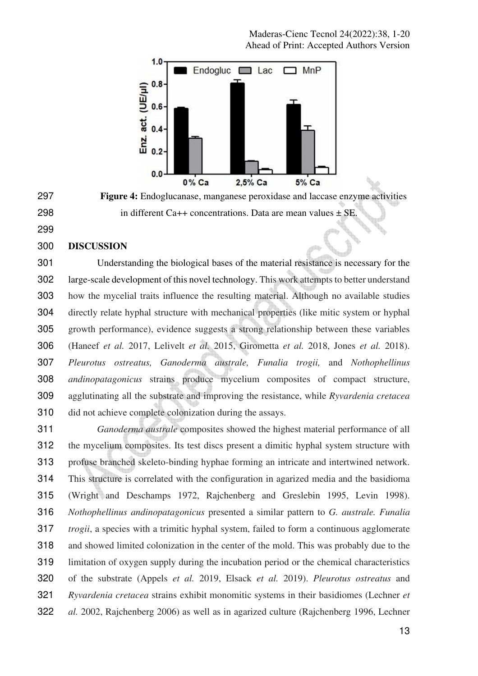

**Figure 4:** Endoglucanase, manganese peroxidase and laccase enzyme activities 298 in different Ca++ concentrations. Data are mean values  $\pm$  SE.

## **DISCUSSION**

Understanding the biological bases of the material resistance is necessary for the large-scale development of this novel technology. This work attempts to better understand how the mycelial traits influence the resulting material. Although no available studies directly relate hyphal structure with mechanical properties (like mitic system or hyphal growth performance), evidence suggests a strong relationship between these variables (Haneef *et al.* 2017, Lelivelt *et al.* 2015, Girometta *et al.* 2018, Jones *et al.* 2018). *Pleurotus ostreatus, Ganoderma australe, Funalia trogii,* and *Nothophellinus andinopatagonicus* strains produce mycelium composites of compact structure, agglutinating all the substrate and improving the resistance, while *Ryvardenia cretacea* did not achieve complete colonization during the assays.

*Ganoderma australe* composites showed the highest material performance of all the mycelium composites. Its test discs present a dimitic hyphal system structure with profuse branched skeleto-binding hyphae forming an intricate and intertwined network. This structure is correlated with the configuration in agarized media and the basidioma (Wright and Deschamps 1972, Rajchenberg and Greslebin 1995, Levin 1998). *Nothophellinus andinopatagonicus* presented a similar pattern to *G. australe. Funalia trogii*, a species with a trimitic hyphal system, failed to form a continuous agglomerate and showed limited colonization in the center of the mold. This was probably due to the limitation of oxygen supply during the incubation period or the chemical characteristics of the substrate (Appels *et al.* 2019, Elsack *et al.* 2019). *Pleurotus ostreatus* and *Ryvardenia cretacea* strains exhibit monomitic systems in their basidiomes (Lechner *et al.* 2002, Rajchenberg 2006) as well as in agarized culture (Rajchenberg 1996, Lechner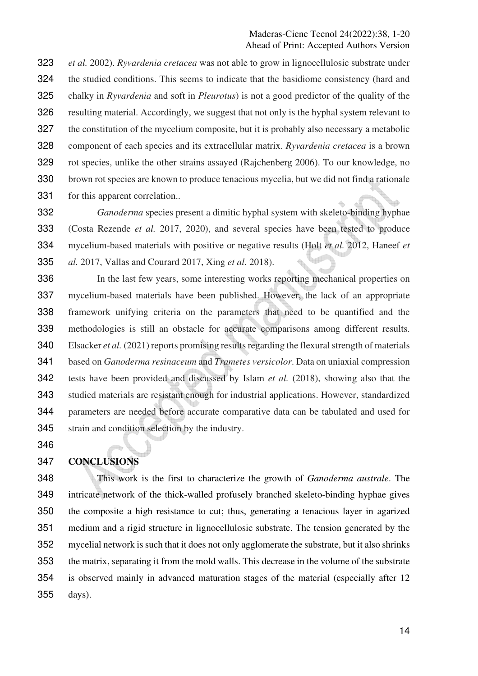*et al.* 2002). *Ryvardenia cretacea* was not able to grow in lignocellulosic substrate under the studied conditions. This seems to indicate that the basidiome consistency (hard and chalky in *Ryvardenia* and soft in *Pleurotus*) is not a good predictor of the quality of the resulting material. Accordingly, we suggest that not only is the hyphal system relevant to the constitution of the mycelium composite, but it is probably also necessary a metabolic component of each species and its extracellular matrix. *Ryvardenia cretacea* is a brown rot species, unlike the other strains assayed (Rajchenberg 2006). To our knowledge, no brown rot species are known to produce tenacious mycelia, but we did not find a rationale for this apparent correlation..

*Ganoderma* species present a dimitic hyphal system with skeleto-binding hyphae (Costa Rezende *et al.* 2017, 2020), and several species have been tested to produce mycelium-based materials with positive or negative results (Holt *et al.* 2012, Haneef *et al.* 2017, Vallas and Courard 2017, Xing *et al.* 2018).

In the last few years, some interesting works reporting mechanical properties on mycelium-based materials have been published. However, the lack of an appropriate framework unifying criteria on the parameters that need to be quantified and the methodologies is still an obstacle for accurate comparisons among different results. Elsacker *et al.* (2021) reports promising results regarding the flexural strength of materials based on *Ganoderma resinaceum* and *Trametes versicolor*. Data on uniaxial compression tests have been provided and discussed by Islam *et al.* (2018), showing also that the studied materials are resistant enough for industrial applications. However, standardized parameters are needed before accurate comparative data can be tabulated and used for strain and condition selection by the industry.

# **CONCLUSIONS**

This work is the first to characterize the growth of *Ganoderma australe*. The intricate network of the thick-walled profusely branched skeleto-binding hyphae gives the composite a high resistance to cut; thus, generating a tenacious layer in agarized medium and a rigid structure in lignocellulosic substrate. The tension generated by the mycelial network is such that it does not only agglomerate the substrate, but it also shrinks the matrix, separating it from the mold walls. This decrease in the volume of the substrate is observed mainly in advanced maturation stages of the material (especially after 12 days).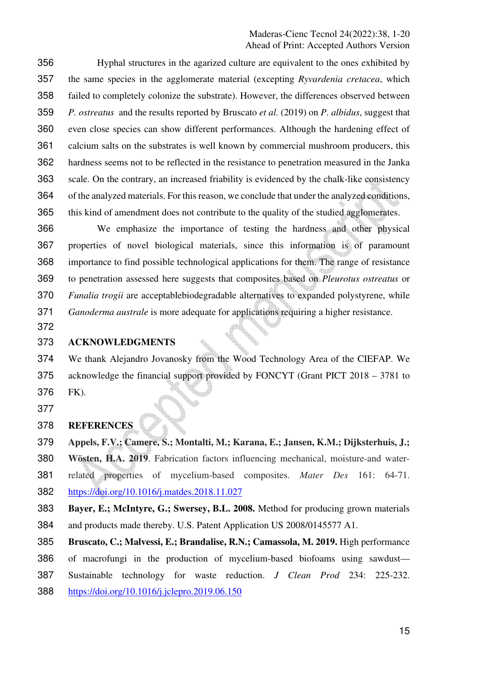Hyphal structures in the agarized culture are equivalent to the ones exhibited by the same species in the agglomerate material (excepting *Ryvardenia cretacea*, which failed to completely colonize the substrate). However, the differences observed between *P. ostreatus* and the results reported by Bruscato *et al.* (2019) on *P. albidus*, suggest that even close species can show different performances. Although the hardening effect of calcium salts on the substrates is well known by commercial mushroom producers, this hardness seems not to be reflected in the resistance to penetration measured in the Janka scale. On the contrary, an increased friability is evidenced by the chalk-like consistency of the analyzed materials. For this reason, we conclude that under the analyzed conditions, this kind of amendment does not contribute to the quality of the studied agglomerates.

We emphasize the importance of testing the hardness and other physical properties of novel biological materials, since this information is of paramount importance to find possible technological applications for them. The range of resistance to penetration assessed here suggests that composites based on *Pleurotus ostreatus* or *Funalia trogii* are acceptablebiodegradable alternatives to expanded polystyrene, while *Ganoderma australe* is more adequate for applications requiring a higher resistance.

## **ACKNOWLEDGMENTS**

We thank Alejandro Jovanosky from the Wood Technology Area of the CIEFAP. We acknowledge the financial support provided by FONCYT (Grant PICT 2018 – 3781 to FK). 

## **REFERENCES**

**Appels, F.V.; Camere, S.; Montalti, M.; Karana, E.; Jansen, K.M.; Dijksterhuis, J.;** 

**Wösten, H.A. 2019**. Fabrication factors influencing mechanical, moisture-and water-related properties of mycelium-based composites. *Mater Des* 161: 64-71. https://doi.org/10.1016/j.matdes.2018.11.027

**Bayer, E.; McIntyre, G.; Swersey, B.L. 2008.** Method for producing grown materials and products made thereby. U.S. Patent Application US 2008/0145577 A1.

**Bruscato, C.; Malvessi, E.; Brandalise, R.N.; Camassola, M. 2019.** High performance of macrofungi in the production of mycelium-based biofoams using sawdust— Sustainable technology for waste reduction. *J Clean Prod* 234: 225-232. https://doi.org/10.1016/j.jclepro.2019.06.150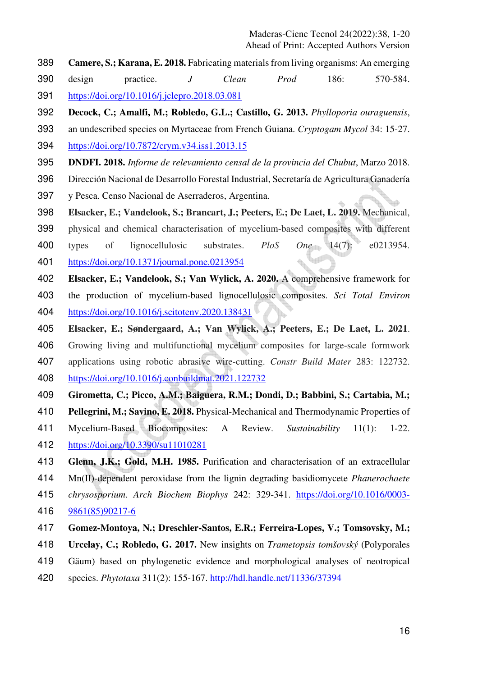- **Camere, S.; Karana, E. 2018.** Fabricating materials from living organisms: An emerging
- design practice. *J Clean Prod* 186: 570-584. https://doi.org/10.1016/j.jclepro.2018.03.081
- **Decock, C.; Amalfi, M.; Robledo, G.L.; Castillo, G. 2013.** *Phylloporia ouraguensis*,
- an undescribed species on Myrtaceae from French Guiana. *Cryptogam Mycol* 34: 15-27. https://doi.org/10.7872/crym.v34.iss1.2013.15
- **DNDFI. 2018.** *Informe de relevamiento censal de la provincia del Chubut*, Marzo 2018.
- Dirección Nacional de Desarrollo Forestal Industrial, Secretaría de Agricultura Ganadería
- y Pesca. Censo Nacional de Aserraderos, Argentina.
- **Elsacker, E.; Vandelook, S.; Brancart, J.; Peeters, E.; De Laet, L. 2019.** Mechanical,
- physical and chemical characterisation of mycelium-based composites with different
- types of lignocellulosic substrates. *PloS One* 14(7): e0213954.
- https://doi.org/10.1371/journal.pone.0213954
- **Elsacker, E.; Vandelook, S.; Van Wylick, A. 2020.** A comprehensive framework for
- the production of mycelium-based lignocellulosic composites. *Sci Total Environ* https://doi.org/10.1016/j.scitotenv.2020.138431
- **Elsacker, E.; Søndergaard, A.; Van Wylick, A.; Peeters, E.; De Laet, L. 2021**.
- Growing living and multifunctional mycelium composites for large-scale formwork
- applications using robotic abrasive wire-cutting. *Constr Build Mater* 283: 122732.
- https://doi.org/10.1016/j.conbuildmat.2021.122732
- **Girometta, C.; Picco, A.M.; Baiguera, R.M.; Dondi, D.; Babbini, S.; Cartabia, M.;**
- **Pellegrini, M.; Savino, E. 2018.** Physical-Mechanical and Thermodynamic Properties of
- Mycelium-Based Biocomposites: A Review. *Sustainability* 11(1): 1-22.
- https://doi.org/10.3390/su11010281
- **Glenn, J.K.; Gold, M.H. 1985.** Purification and characterisation of an extracellular Mn(II)-dependent peroxidase from the lignin degrading basidiomycete *Phanerochaete*
- *chrysosporium*. *Arch Biochem Biophys* 242: 329-341. https://doi.org/10.1016/0003-
- 9861(85)90217-6
- **Gomez-Montoya, N.; Dreschler-Santos, E.R.; Ferreira-Lopes, V.; Tomsovsky, M.;**
- **Urcelay, C.; Robledo, G. 2017.** New insights on *Trametopsis tomšovský* (Polyporales
- Gäum) based on phylogenetic evidence and morphological analyses of neotropical
- species. *Phytotaxa* 311(2): 155-167. http://hdl.handle.net/11336/37394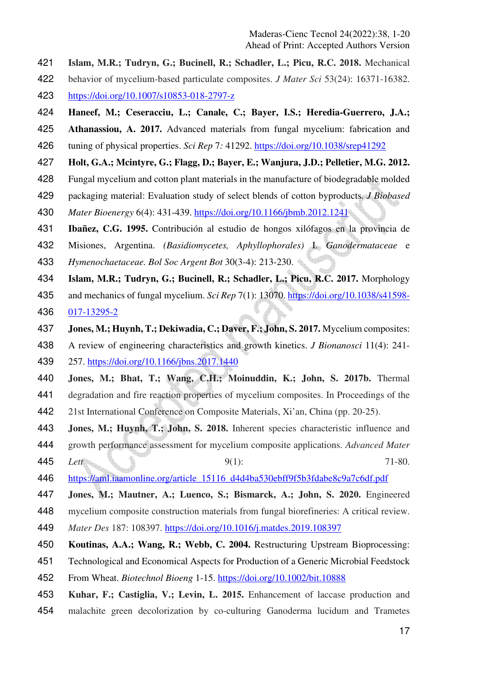- **Islam, M.R.; Tudryn, G.; Bucinell, R.; Schadler, L.; Picu, R.C. 2018.** Mechanical
- behavior of mycelium-based particulate composites. *J Mater Sci* 53(24): 16371-16382. https://doi.org/10.1007/s10853-018-2797-z
- **Haneef, M.; Ceseracciu, L.; Canale, C.; Bayer, I.S.; Heredia-Guerrero, J.A.;**
- **Athanassiou, A. 2017.** Advanced materials from fungal mycelium: fabrication and tuning of physical properties. *Sci Rep* 7*:* 41292. https://doi.org/10.1038/srep41292
- **Holt, G.A.; Mcintyre, G.; Flagg, D.; Bayer, E.; Wanjura, J.D.; Pelletier, M.G. 2012.**
- Fungal mycelium and cotton plant materials in the manufacture of biodegradable molded
- packaging material: Evaluation study of select blends of cotton byproducts. *J Biobased*
- *Mater Bioenergy* 6(4): 431-439. https://doi.org/10.1166/jbmb.2012.1241
- **Ibañez, C.G. 1995.** Contribución al estudio de hongos xilófagos en la provincia de
- Misiones, Argentina. *(Basidiomycetes, Aphyllophorales)* I. *Ganodermataceae* e
- *Hymenochaetaceae. Bol Soc Argent Bot* 30(3-4): 213-230.
- **Islam, M.R.; Tudryn, G.; Bucinell, R.; Schadler, L.; Picu, R.C. 2017.** Morphology
- and mechanics of fungal mycelium. *Sci Rep* 7(1): 13070. https://doi.org/10.1038/s41598- 017-13295-2
- **Jones, M.; Huynh, T.; Dekiwadia, C.; Daver, F.; John, S. 2017.** Mycelium composites:
- A review of engineering characteristics and growth kinetics. *J Bionanosci* 11(4): 241- 257. https://doi.org/10.1166/jbns.2017.1440
- **Jones, M.; Bhat, T.; Wang, C.H.; Moinuddin, K.; John, S. 2017b.** Thermal
- degradation and fire reaction properties of mycelium composites. In Proceedings of the
- 21st International Conference on Composite Materials, Xi'an, China (pp. 20-25).
- **Jones, M.; Huynh, T.; John, S. 2018.** Inherent species characteristic influence and
- growth performance assessment for mycelium composite applications. *Advanced Mater*
- *Lett* 9(1): 71-80.
- https://aml.iaamonline.org/article\_15116\_d4d4ba530ebff9f5b3fdabe8c9a7c6df.pdf
- **Jones, M.; Mautner, A.; Luenco, S.; Bismarck, A.; John, S. 2020.** Engineered
- mycelium composite construction materials from fungal biorefineries: A critical review.
- *Mater Des* 187: 108397. https://doi.org/10.1016/j.matdes.2019.108397
- **Koutinas, A.A.; Wang, R.; Webb, C. 2004.** Restructuring Upstream Bioprocessing:
- Technological and Economical Aspects for Production of a Generic Microbial Feedstock
- From Wheat. *Biotechnol Bioeng* 1-15. https://doi.org/10.1002/bit.10888
- **Kuhar, F.; Castiglia, V.; Levin, L. 2015.** Enhancement of laccase production and malachite green decolorization by co-culturing Ganoderma lucidum and Trametes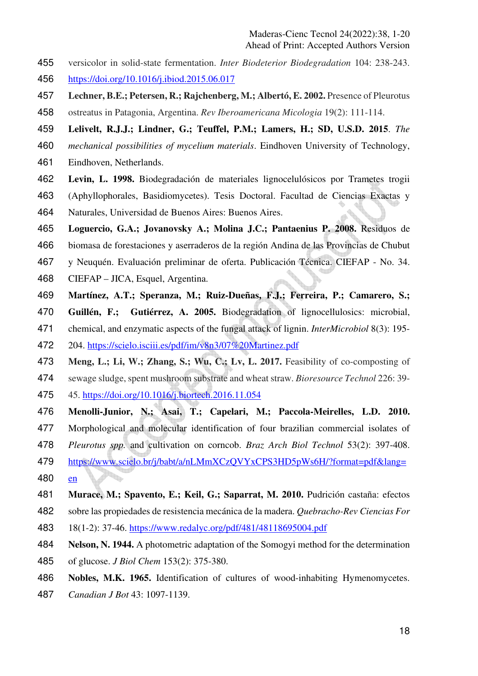- versicolor in solid-state fermentation. *Inter Biodeterior Biodegradation* 104: 238-243. https://doi.org/10.1016/j.ibiod.2015.06.017
- **Lechner, B.E.; Petersen, R.; Rajchenberg, M.; Albertó, E. 2002.** Presence of Pleurotus
- ostreatus in Patagonia, Argentina. *Rev Iberoamericana Micologia* 19(2): 111-114.
- **Lelivelt, R.J.J.; Lindner, G.; Teuffel, P.M.; Lamers, H.; SD, U.S.D. 2015**. *The*
- *mechanical possibilities of mycelium materials*. Eindhoven University of Technology,
- Eindhoven, Netherlands.
- **Levin, L. 1998.** Biodegradación de materiales lignocelulósicos por Trametes trogii
- (Aphyllophorales, Basidiomycetes). Tesis Doctoral. Facultad de Ciencias Exactas y
- Naturales, Universidad de Buenos Aires: Buenos Aires.
- **Loguercio, G.A.; Jovanovsky A.; Molina J.C.; Pantaenius P. 2008.** Residuos de
- biomasa de forestaciones y aserraderos de la región Andina de las Provincias de Chubut
- y Neuquén. Evaluación preliminar de oferta. Publicación Técnica. CIEFAP No. 34.
- CIEFAP JICA, Esquel, Argentina.
- **Martínez, A.T.; Speranza, M.; Ruiz-Dueñas, F.J.; Ferreira, P.; Camarero, S.;**
- **Guillén, F.; Gutiérrez, A. 2005.** Biodegradation of lignocellulosics: microbial,
- chemical, and enzymatic aspects of the fungal attack of lignin. *InterMicrobiol* 8(3): 195-
- 204. https://scielo.isciii.es/pdf/im/v8n3/07%20Martinez.pdf
- **Meng, L.; Li, W.; Zhang, S.; Wu, C.; Lv, L. 2017.** Feasibility of co-composting of
- sewage sludge, spent mushroom substrate and wheat straw. *Bioresource Technol* 226: 39- 45. https://doi.org/10.1016/j.biortech.2016.11.054
- **Menolli-Junior, N.; Asai, T.; Capelari, M.; Paccola-Meirelles, L.D. 2010.**
- Morphological and molecular identification of four brazilian commercial isolates of
- *Pleurotus spp.* and cultivation on corncob. *Braz Arch Biol Technol* 53(2): 397-408.
- https://www.scielo.br/j/babt/a/nLMmXCzQVYxCPS3HD5pWs6H/?format=pdf&lang= en
- **Murace, M.; Spavento, E.; Keil, G.; Saparrat, M. 2010.** Pudrición castaña: efectos
- sobre las propiedades de resistencia mecánica de la madera. *Quebracho-Rev Ciencias For*
- 18(1-2): 37-46. https://www.redalyc.org/pdf/481/48118695004.pdf
- **Nelson, N. 1944.** A photometric adaptation of the Somogyi method for the determination
- of glucose. *J Biol Chem* 153(2): 375-380.
- **Nobles, M.K. 1965.** Identification of cultures of wood-inhabiting Hymenomycetes.
- *Canadian J Bot* 43: 1097-1139.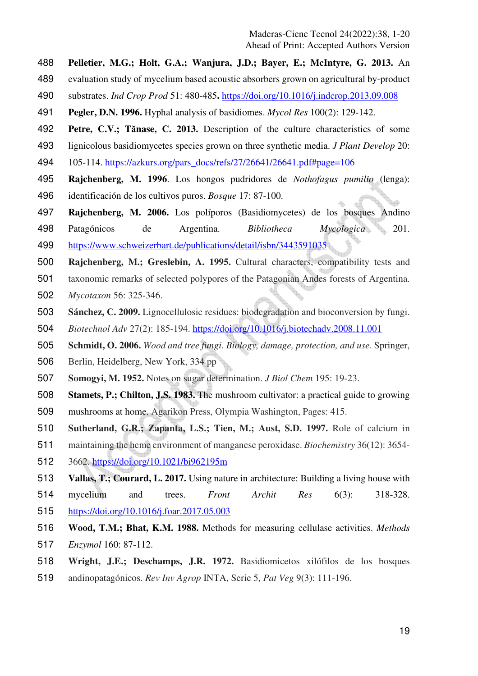- **Pelletier, M.G.; Holt, G.A.; Wanjura, J.D.; Bayer, E.; McIntyre, G. 2013.** An
- evaluation study of mycelium based acoustic absorbers grown on agricultural by-product
- substrates. *Ind Crop Prod* 51: 480-485**.** https://doi.org/10.1016/j.indcrop.2013.09.008
- **Pegler, D.N. 1996.** Hyphal analysis of basidiomes. *Mycol Res* 100(2): 129-142.
- **Petre, C.V.; Tănase, C. 2013.** Description of the culture characteristics of some
- lignicolous basidiomycetes species grown on three synthetic media. *J Plant Develop* 20:
- 105-114. https://azkurs.org/pars\_docs/refs/27/26641/26641.pdf#page=106
- **Rajchenberg, M. 1996**. Los hongos pudridores de *Nothofagus pumilio* (lenga): identificación de los cultivos puros. *Bosque* 17: 87-100.
- **Rajchenberg, M. 2006.** Los políporos (Basidiomycetes) de los bosques Andino
- Patagónicos de Argentina. *Bibliotheca Mycologica* 201. https://www.schweizerbart.de/publications/detail/isbn/3443591035
- **Rajchenberg, M.; Greslebin, A. 1995.** Cultural characters, compatibility tests and
- taxonomic remarks of selected polypores of the Patagonian Andes forests of Argentina.
- *Mycotaxon* 56: 325-346.
- **Sánchez, C. 2009.** Lignocellulosic residues: biodegradation and bioconversion by fungi.
- *Biotechnol Adv* 27(2): 185-194. https://doi.org/10.1016/j.biotechadv.2008.11.001
- **Schmidt, O. 2006.** *Wood and tree fungi. Biology, damage, protection, and use*. Springer,
- Berlin, Heidelberg, New York, 334 pp
- **Somogyi, M. 1952.** Notes on sugar determination. *J Biol Chem* 195: 19-23.
- **Stamets, P.; Chilton, J.S. 1983.** The mushroom cultivator: a practical guide to growing
- mushrooms at home. Agarikon Press, Olympia Washington, Pages: 415.
- **Sutherland, G.R.; Zapanta, L.S.; Tien, M.; Aust, S.D. 1997.** Role of calcium in
- maintaining the heme environment of manganese peroxidase. *Biochemistry* 36(12): 3654-
- 3662. https://doi.org/10.1021/bi962195m
- **Vallas, T.; Courard, L. 2017.** Using nature in architecture: Building a living house with
- mycelium and trees. *Front Archit Res* 6(3): 318-328. https://doi.org/10.1016/j.foar.2017.05.003
- **Wood, T.M.; Bhat, K.M. 1988.** Methods for measuring cellulase activities. *Methods*
- *Enzymol* 160: 87-112.
- **Wright, J.E.; Deschamps, J.R. 1972.** Basidiomicetos xilófilos de los bosques
- andinopatagónicos. *Rev Inv Agrop* INTA, Serie 5, *Pat Veg* 9(3): 111-196.